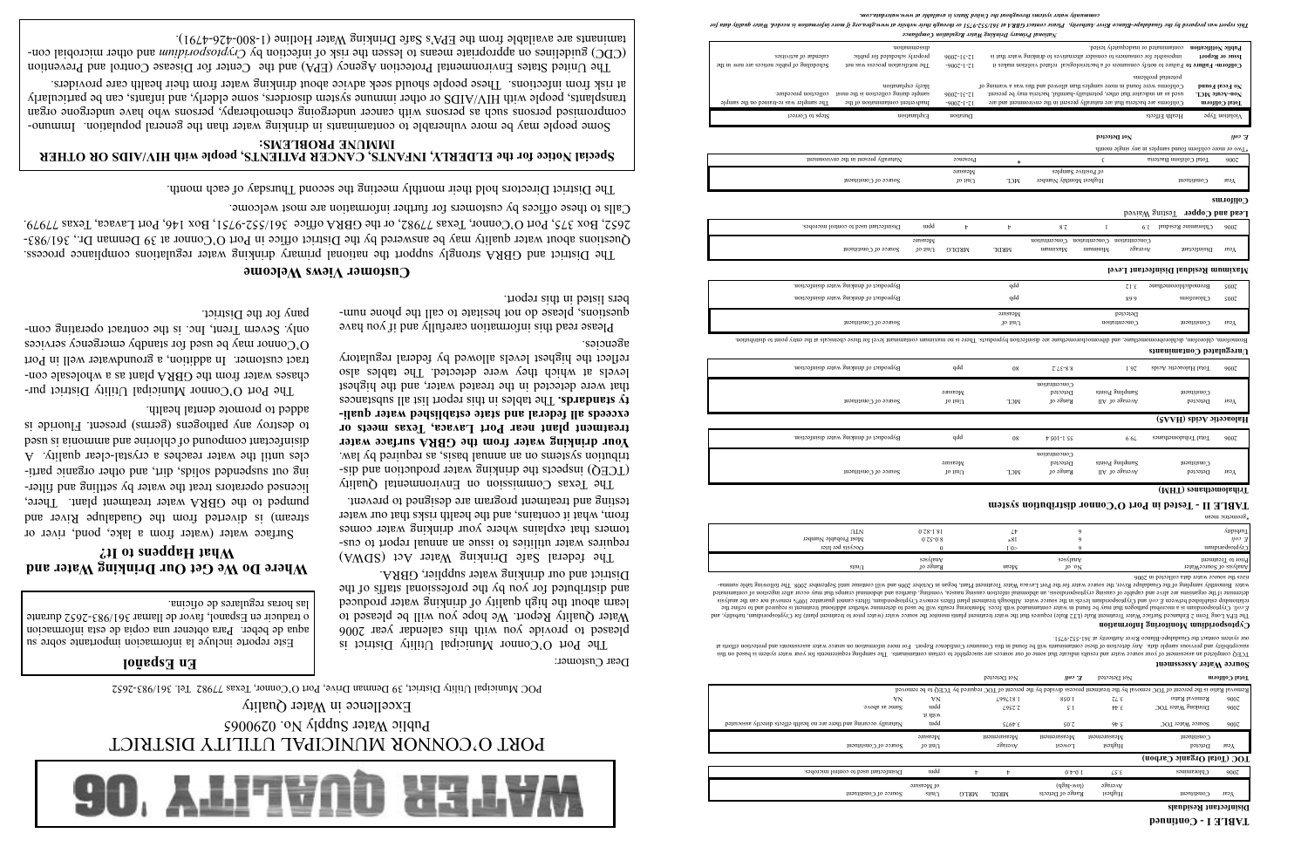

# PORT O'CONNOR MUNICIPAL UTILITY DISTRICT Public Water Supply No. 0290065

Excellence in Water Quality

POC Municipal Utility District, 39 Denman Drive, Port O'Connor, Texas 77982 Tel. 361/983-2652

Dear Customer:

The Port O'Connor Municipal Utility District is pleased to provide you with this calendar year 2006 Water Quality Report. We hope you will be pleased to learn about the high delighty of drinking water produced and distributed for you by the professional staffs of the District and our drinking water supplier, GBRA.

The federal Safe Drinking Water Act (SDWA) requires water utilities to issue an annual report to customers that explains where your drinking water comes from, what it contains, and the health risks that our water testing and treatment program are designed to prevent.

The Texas Commission on Environmental Quality (TCEQ) inspects the drinking water production and distribution systems on an annual basis, as required by law. **Your drinking water from the GBRA surface water treatment plant near Port Lavaca, Texas meets or exceeds all federal and state established water quali**ty standards. The tables in this report list all substances that were detected in the treated water, and the highest levels at which they were detected. The tables also reflect the highest levels allowed by federal regulatory agencies.

The United States Environmental Protection Agency (EPA) and the Center for Disease Control and Prevention CDC) guidelines on appropriate means to lessen the risk of micction by Cryptorian and other microbial contaminants are available from the EPA's Safe Drinking Water Hotline (1-800-426-4791).

# **Where Do We Get Our Drinking Water and** What Happens to It?

Surface water (water from a lake, pond, river or stream) is diverted from the Guadalupe River and pumped to the GBRA water treatment plant. There, licensed operators treat the water by settling and filtering out suspended solids, they are particles until the water reaches a crystal-clear quality. A discrept compound of chlorine and amount is used to destroy any pathogens (germs) present. Fluoride is added to promote dental health. Please read this information carefully and if you have dnestions, please do not hesitate to call the phone numbers listed in this report.

# **En Español**

Este reporte incluye la informacion importante sobre su aqua de beber. Para obtener una copia de esta informacion o traducir en Espanol, favor de llamar 361/983-2652 durante las horas regulares de oficina.

The Port  $O'Comon$  Municipal Utility Dirict purchases water from the GBRA plant as a wholesale contract customer. In addition, a groundwater well in Port O'Connor may be used for standby emergency services only. Severn Trent, Inc. is the contract operating company for the District.

The District and GBRA strongly support the national primary drinking water regulations compliance process. Questions about water quality may be answered by the Dirict office in Port O'Connor at 39 Denman Dr., 361/983- $252$ , Box 375, Port O'Connor, Texas 77982, or the GBRA  $\alpha$  361/652-9751, Box 146, Port Lavaca, Texas 77979. Calls to these offices by customers for further information are most welcome.

# **Special Notice for the ELDERLY, INFANTS, CANCER PATIENTS, people with HIV/AIDS OR OTHER IMMUNE PROBLEMS:**

Some people may be more vulnerable to contaminants in drinking water than the general population. Immunocombiourised bersons such as bersons with cancer undergoing gardomentally, bersors who have undergone organ transplants, people with HIV/AIDS or other immune system disorders, some elderly, and infants, can be particularly at risk from infections. These people should seek advice about drinking water from their health care providers. тугарат маг рифотеритору куна Руна Мирону. Рисае соврат даруску 59.710 г. инстраненным референтам у посвед утокоматором песен Water марит посвед Утора в песен Water выратительных посвед Марит посвед Марит посвед Марит посв *community water systems throughout the United States is available at www.waterdata.com.*

> 2006 P. PhpP. 1.25.1-1.26 Space 79.9 Space 79.9 Space of drinking water distribution. Ppp Byproduct of drinking water distribution. Ppp Byproduct of drinking water distribution. Ppp Byproduct of drinking water distribution Concentration

**TABLE II - Tested in Port O'Connor distribution system** keometric mean

# $\mathcal{S}$   $\mathcal{S}$   $\mathcal{S}$   $\mathcal{S}$   $\mathcal{S}$   $\mathcal{S}$   $\mathcal{S}$   $\mathcal{S}$   $\mathcal{S}$   $\mathcal{S}$   $\mathcal{S}$   $\mathcal{S}$   $\mathcal{S}$   $\mathcal{S}$   $\mathcal{S}$   $\mathcal{S}$   $\mathcal{S}$   $\mathcal{S}$   $\mathcal{S}$   $\mathcal{S}$   $\mathcal{S}$   $\mathcal{S}$   $\mathcal{S}$   $\mathcal{S}$   $\mathcal{$

| Sampling Points | $\mu$ anang ang |      |
|-----------------|-----------------|------|
| Аverage of All  | Detected        | теэд |
|                 |                 |      |

| (MHT) <i>eansdramoladivI</i> |  |
|------------------------------|--|
|                              |  |

### **Customer Views Welcome**

**Haloacetic Acids (HAA5)** Year Detected Average of All Range of All RCL NCL Constituents of  $\mathbb{R}^n$ 

Constituent Constituent Sampling Points Detected Measurements Detected Measurements Detected Measurements  $\sim$ 

 $2006$   $2018$   $2018$   $2018$   $2018$   $2018$   $2018$   $2018$   $2018$   $2018$   $2018$   $2018$   $2018$   $2018$   $2018$   $2018$   $2018$   $2018$   $2018$   $2018$   $2018$   $2018$   $2018$   $2018$   $2018$   $2018$   $2018$   $2018$   $2018$   $2018$   $2018$   $201$ **Unregulated Contaminants**

## 2005 Chloroform 6.68 ppb Byproduct of drinking water disinfection.  $2005$  Bromodichloromethane  $2.12$  ppp Byproduct of drinking water drinking water drinking water drinking water drinking water drinking water drinking water drinking water drinking water drinking water drinking water drin **Maximum Residual Disinfectant Level** Year Disinfectant Average Minimum Maximum MRDL MRDLG Unit of Source of Constituent Concentration Concentration Concentration

Year Constituent Concentration Unit of Source of Source of Source of Source of Source of Source of Source of So

The District Directors hold their monthly meeting the second Thursday of each month.

*National Primary Drinking Water Regulation Compliance*

# **Trihalomethanes (THM)**

| (MHT) <i>e</i> anathamoladirT |
|-------------------------------|

|                       |        |     |         |                          | $\left(\text{unit} \right)$ cannomation $\text{unit}$ |     |
|-----------------------|--------|-----|---------|--------------------------|-------------------------------------------------------|-----|
| Source of Constituent | 10 11U | NCT | 10.9208 | <i>TAGLSGG</i> OI<br>IІV | Detected                                              | лгэ |
|                       | . .    |     |         | . .<br>.<br>--           | . .                                                   |     |

|                                                            | (MHT) eansdramolsdirf |
|------------------------------------------------------------|-----------------------|
| EXPLE II - IGNAIR III LOILLO COUIIOI AIRILIDANIOII 2)ARIGH |                       |

|  | (MHT) esanathamoladir |
|--|-----------------------|
|  |                       |

|  | (MHT) eans the noisaling |
|--|--------------------------|
|  |                          |

### **Disinfectant Residuals**

|                                                                        |                              |             |                     |                       | Removal Ratio is the percent OC removal by the treatment process divided by the percent of TOF required by TCEQ to be removed. |      |
|------------------------------------------------------------------------|------------------------------|-------------|---------------------|-----------------------|--------------------------------------------------------------------------------------------------------------------------------|------|
| VN                                                                     | VN                           | L99LI8'I    | 850.1               | $ZL^{\cdot}E$         | Removal Ratio                                                                                                                  | 900Z |
| Same as above.                                                         | uidd                         | L95ZZ       | ς·                  | $\forall \forall \xi$ | Drinking Water TOC                                                                                                             | 900Z |
|                                                                        | лі цим                       |             |                     |                       |                                                                                                                                |      |
| Naturally occuring and there are no health effects directly associated | uidd                         | SL6FE       | S0Z                 | $9b$ 's               | Source Water TOC                                                                                                               | 900Z |
|                                                                        | $\alpha$ usea $W$            | Measurement | Measurement         | Measurement           | $\mu$ ouaqueur                                                                                                                 |      |
|                                                                        |                              |             |                     |                       |                                                                                                                                |      |
| Source of Constituent                                                  | $10$ $\text{lim}$ $\text{U}$ | эзвтэчА     | 1S <sub>3</sub> MOT | Highest               | Deteted                                                                                                                        | Year |
|                                                                        |                              |             |                     |                       | TOC (Total Organic Carbon)                                                                                                     |      |
| Disinfectant used to control microbes.                                 | uıdd                         |             | $0.4 - 0.1$         | 7.57                  | Chloramines                                                                                                                    | 900Z |
|                                                                        | or Measure                   |             | $(48i4-W0)$         | эзвтэлА               |                                                                                                                                |      |

TCEQ completed an assessment of your source water and results indicate that some of our sources are susceptible to certain cont For more information of the susceptive and protection and protection and protection and protection or which are with an and protection of the susceptibility and the found in this contained with consumer this consumer Any d

Analysis of SourceWater  $\mathbb{R}^n$  of  $\mathbb{R}^n$  are  $\mathbb{R}^n$  are  $\mathbb{R}^n$  are  $\mathbb{R}^n$  are  $\mathbb{R}^n$  are  $\mathbb{R}^n$  are  $\mathbb{R}^n$  are  $\mathbb{R}^n$  are  $\mathbb{R}^n$  are  $\mathbb{R}^n$  are  $\mathbb{R}^n$  are  $\mathbb{R}^n$  are  $\math$ Prior to Treatment Analyses Analyses Ins (yibidun amibiroqeotqyt) rot (tusiq insurtsent of rotrq tastw) to treatment plane and pointing manced treatment clurk CTJ blust insurtes the water and annis beonatried C ams Tgno. I ARE on Chanced C ams Tgno. I ARE on E.coli provided a minimum is a membent distributional and the refer of the minimum is a microported and the additional may when additional may when all may when in the used in the used in the used in the used the used the eie 100% remove plant remove Cryptosporidium, filters remove levels 100% removal nor can the analysis relationsh cansing narrea, vomiting, diarrhea and abdominal cramps that have occur after ingestion of contaminated organisms are alive and capable of capable of causing nausea, and capable nause nausea, and causing nausea, volume of 2006 and will continue until September 2006 and will souther difference the Following table summarizes the source water data collected in 2006. **Cyptosporidium Monitoring Information** ocyptosporium و cryptosporium for the cryptosporium of the cryptosporium of the cryptosporium of the cryptospor 6 18\* 8.0-52.0 Most Probable Number *E. coli*  $\begin{array}{ccc} 0.11 \ \text{m} & 0.78 \text{-}1.81 \end{array}$  (1.1) Apple  $\begin{array}{ccc} \downarrow & \downarrow & \downarrow & \downarrow \ \downarrow & \downarrow & \downarrow & \end{array}$ 

| 0.1N<br>Most Probable Number<br>Oocysts per liter | 0.58-1.81<br>$0.52 - 0.8$<br>0                         |  |
|---------------------------------------------------|--------------------------------------------------------|--|
| $\sin \theta$                                     | $s$ əs $\Lambda$ <sub>l</sub> eu $\forall$<br>Range of |  |

| qdc              | Byproduct of drinking water disinfection. |
|------------------|-------------------------------------------|
| 0.008<br>lo iinl | $1000$ and $1000$                         |
|                  |                                           |

| Byproduct of drinking water disinfection. | qd               |
|-------------------------------------------|------------------|
| Source of Constituent                     | easure<br>10 iiu |

othudinale ot micy entry the entry product at the entry product the entry product of the entry point to disinfection, and distribution by the is no may be indicated with but if  $\mu$ 

| Byproduct of drinking water disinfection. |
|-------------------------------------------|
| Byproduct of drinking water disinfection. |
| Source of Constituent                     |

|      | uıdd      | Disinfectant used to control microbes. |
|------|-----------|----------------------------------------|
|      | Measure   |                                        |
| DTG. | $10$ in U | Source of Constituent                  |

our system contact the Guadalupe-Blanco River Authority at 361-552-9751.

### **Source Water Assessment**

| umpuodsojd/10                                                                                                  |          | I 0> |
|----------------------------------------------------------------------------------------------------------------|----------|------|
| Prior to Treatment                                                                                             | Analyses |      |
| Analysis of SourceWater                                                                                        | 10.0V    | Mean |
| izes the source water data collected in 2006.                                                                  |          |      |
| vater. Bimonthly sampling of the Guadalupe River, the source water for the Port Lavaca Water Trea              |          |      |
| ietermine if the organisms are alive and capable of causing cryptosporidiosis, an abdominal infectio           |          |      |
| ən ufinounty tangın əətnos ətn tu stənət tunuptiodsond.Gro pur <i>noə a</i> uəəmiəq pətistiqiqisə diustioniqia |          |      |

Not Detected **E. coliform and Colifornia Coliform** C. coliform Collected **Total Collected** Coliform Collected Coliform Collected Collected Coliform Collected Collected Collected Collected Collected Collected Collected Coll

# **TABLE I - Continued**

Concentration

Detected Measure

2006 Chloramine Residual 1.9 1 2.8 4 4 ppm Disinfectant used to control microbes.

Lead and Copper Testing Waived

| Steps to Correct                      | Explanation | Duration                     |            |                                               | Health Effects                                            | $\log T$ noitsloi $V$ |
|---------------------------------------|-------------|------------------------------|------------|-----------------------------------------------|-----------------------------------------------------------|-----------------------|
|                                       |             |                              |            | Not Detected                                  |                                                           | ноэ А                 |
|                                       |             |                              |            |                                               | . Two or more coliform found samples in any single month. |                       |
| Naturally present in the environment. |             | Presence                     |            |                                               | Total Coliform Bacteria                                   | 900Z                  |
| Source of Constituting                |             | Measure<br>$10$ $\text{lim}$ | <b>NCL</b> | of Positive Samples<br>Highest Monthly Number | Constituent                                               | Year                  |

|                | $v \circ m v$                                                                                   |                                                                        |
|----------------|-------------------------------------------------------------------------------------------------|------------------------------------------------------------------------|
| 9007<br>$-900$ | dissemination.<br>broberly scheduled for public<br>The notification process was not             | calendar of activities.<br>Scheduling of public notices are now in the |
| 9007<br>$-900$ | likely explanation.<br>sample during collection is the most<br>Inadvertent contamination of the | collection procedure.<br>The sampler was re-trained on the sample      |
| uo             | Explanation                                                                                     | Steps to Correct                                                       |

| Public Notification<br>Issue or Report | contaminated or inadequately tested.<br>impossible for consumers to consider alternatives to drinking water that is<br>Coliform- Failure to Failure o consumers of a bacteriological related violition makes it | $9007 - 15 - 71$<br>$-900Z - 1 - ZI$ | uoneunuossip<br>bioberly scheduled for public<br>The notification process was not | calendar of activities.<br>Scheduling of public notices are now in the |
|----------------------------------------|-----------------------------------------------------------------------------------------------------------------------------------------------------------------------------------------------------------------|--------------------------------------|-----------------------------------------------------------------------------------|------------------------------------------------------------------------|
|                                        | potential problems.                                                                                                                                                                                             |                                      |                                                                                   |                                                                        |
| No Feeal Found                         | Coliforms were found in more samples than allowed and this was a warming of                                                                                                                                     |                                      | likely explanation.                                                               |                                                                        |
| Иог-Асие МСГ                           | used as an indicator that other, potentially-harmful, bacteria may be present.                                                                                                                                  | 9007-19-71                           | sample during collection is the most                                              | collection procedure.                                                  |
| Total Coliform                         | Coliforms are bacteria that are naturally present in the environment and are                                                                                                                                    | $-9007 - 1 - 71$                     | Inadvertent contamination of the                                                  | The sampler was re-trained on the sample                               |
| 9qvT noitsloi∨                         | Health Effects                                                                                                                                                                                                  | Duration                             | Explanation                                                                       | Steps to Correct                                                       |
|                                        |                                                                                                                                                                                                                 |                                      |                                                                                   |                                                                        |

**Coliforms**